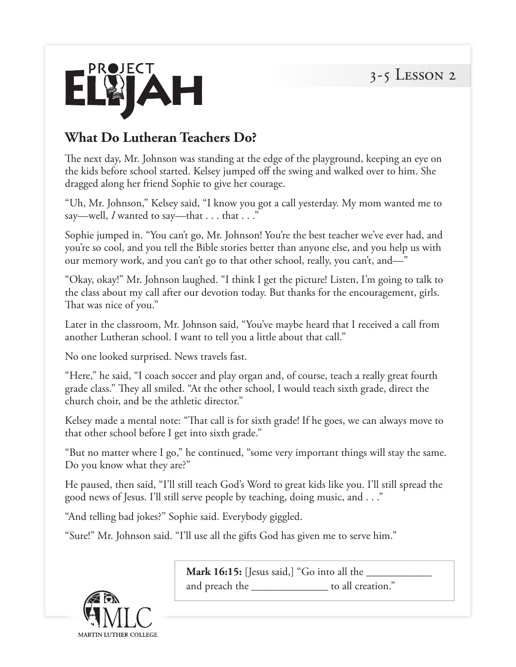

## **What Do Lutheran Teachers Do?**

The next day, Mr. Johnson was standing at the edge of the playground, keeping an eye on the kids before school started. Kelsey jumped off the swing and walked over to him. She dragged along her friend Sophie to give her courage.

"Uh, Mr. Johnson," Kelsey said, "I know you got a call yesterday. My mom wanted me to say—well, *I* wanted to say—that . . . that . . ."

Sophie jumped in. "You can't go, Mr. Johnson! You're the best teacher we've ever had, and you're so cool, and you tell the Bible stories better than anyone else, and you help us with our memory work, and you can't go to that other school, really, you can't, and—"

"Okay, okay!" Mr. Johnson laughed. "I think I get the picture! Listen, I'm going to talk to the class about my call after our devotion today. But thanks for the encouragement, girls. That was nice of you."

Later in the classroom, Mr. Johnson said, "You've maybe heard that I received a call from another Lutheran school. I want to tell you a little about that call."

No one looked surprised. News travels fast.

"Here," he said, "I coach soccer and play organ and, of course, teach a really great fourth grade class." They all smiled. "At the other school, I would teach sixth grade, direct the church choir, and be the athletic director."

Kelsey made a mental note: "That call is for sixth grade! If he goes, we can always move to that other school before I get into sixth grade."

"But no matter where I go," he continued, "some very important things will stay the same. Do you know what they are?"

He paused, then said, "I'll still teach God's Word to great kids like you. I'll still spread the good news of Jesus. I'll still serve people by teaching, doing music, and . . ."

"And telling bad jokes?" Sophie said. Everybody giggled.

"Sure!" Mr. Johnson said. "I'll use all the gifts God has given me to serve him."



**Mark 16:15:** [Jesus said,] "Go into all the \_\_\_\_\_\_\_\_\_\_\_\_ and preach the \_\_\_\_\_\_\_\_\_\_\_\_\_\_ to all creation."